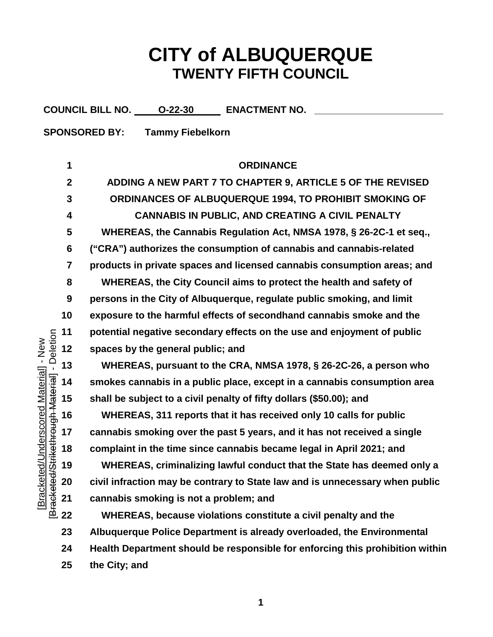## **CITY of ALBUQUERQUE TWENTY FIFTH COUNCIL**

|                                                 |                         | COUNCIL BILL NO. 0-22-30<br><b>ENACTMENT NO.</b>                              |  |  |
|-------------------------------------------------|-------------------------|-------------------------------------------------------------------------------|--|--|
| <b>SPONSORED BY:</b><br><b>Tammy Fiebelkorn</b> |                         |                                                                               |  |  |
|                                                 |                         |                                                                               |  |  |
|                                                 | 1                       | <b>ORDINANCE</b>                                                              |  |  |
|                                                 | $\mathbf{2}$            | ADDING A NEW PART 7 TO CHAPTER 9, ARTICLE 5 OF THE REVISED                    |  |  |
|                                                 | 3                       | ORDINANCES OF ALBUQUERQUE 1994, TO PROHIBIT SMOKING OF                        |  |  |
|                                                 | 4                       | <b>CANNABIS IN PUBLIC, AND CREATING A CIVIL PENALTY</b>                       |  |  |
|                                                 | 5                       | WHEREAS, the Cannabis Regulation Act, NMSA 1978, § 26-2C-1 et seq.,           |  |  |
|                                                 | 6                       | ("CRA") authorizes the consumption of cannabis and cannabis-related           |  |  |
|                                                 | $\overline{\mathbf{7}}$ | products in private spaces and licensed cannabis consumption areas; and       |  |  |
|                                                 | 8                       | WHEREAS, the City Council aims to protect the health and safety of            |  |  |
|                                                 | 9                       | persons in the City of Albuquerque, regulate public smoking, and limit        |  |  |
|                                                 | 10                      | exposure to the harmful effects of secondhand cannabis smoke and the          |  |  |
|                                                 | 11                      | potential negative secondary effects on the use and enjoyment of public       |  |  |
| - Deletion<br>Jnderscored Material] - New       | 12                      | spaces by the general public; and                                             |  |  |
|                                                 | 13                      | WHEREAS, pursuant to the CRA, NMSA 1978, § 26-2C-26, a person who             |  |  |
|                                                 | 14                      | smokes cannabis in a public place, except in a cannabis consumption area      |  |  |
|                                                 | 15                      | shall be subject to a civil penalty of fifty dollars (\$50.00); and           |  |  |
| <b>Hethrough Material</b>                       | 16                      | WHEREAS, 311 reports that it has received only 10 calls for public            |  |  |
|                                                 | 17                      | cannabis smoking over the past 5 years, and it has not received a single      |  |  |
|                                                 | 18                      | complaint in the time since cannabis became legal in April 2021; and          |  |  |
|                                                 | 19                      | WHEREAS, criminalizing lawful conduct that the State has deemed only a        |  |  |
|                                                 | 20                      | civil infraction may be contrary to State law and is unnecessary when public  |  |  |
| Bracketed/Str<br>[Bracketed/l                   | 21                      | cannabis smoking is not a problem; and                                        |  |  |
|                                                 | 22                      | WHEREAS, because violations constitute a civil penalty and the                |  |  |
|                                                 | 23                      | Albuquerque Police Department is already overloaded, the Environmental        |  |  |
|                                                 | 24                      | Health Department should be responsible for enforcing this prohibition within |  |  |
|                                                 | 25                      | the City; and                                                                 |  |  |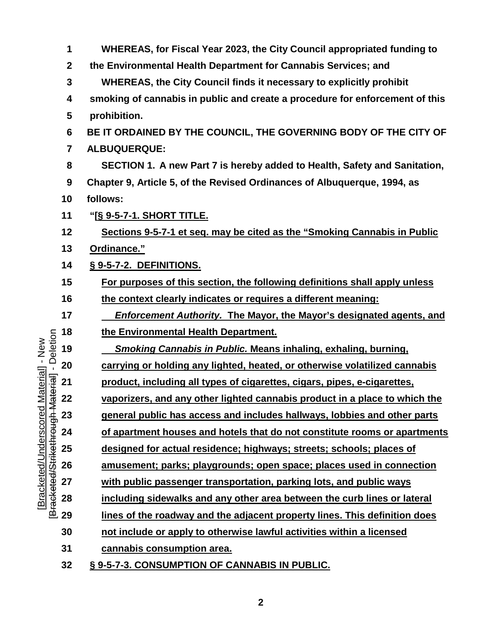|                                         | 1                       | WHEREAS, for Fiscal Year 2023, the City Council appropriated funding to      |
|-----------------------------------------|-------------------------|------------------------------------------------------------------------------|
|                                         | $\boldsymbol{2}$        | the Environmental Health Department for Cannabis Services; and               |
|                                         | 3                       | <b>WHEREAS, the City Council finds it necessary to explicitly prohibit</b>   |
|                                         | 4                       | smoking of cannabis in public and create a procedure for enforcement of this |
|                                         | 5                       | prohibition.                                                                 |
|                                         | 6                       | BE IT ORDAINED BY THE COUNCIL, THE GOVERNING BODY OF THE CITY OF             |
|                                         | $\overline{\mathbf{7}}$ | <b>ALBUQUERQUE:</b>                                                          |
|                                         | 8                       | SECTION 1. A new Part 7 is hereby added to Health, Safety and Sanitation,    |
|                                         | 9                       | Chapter 9, Article 5, of the Revised Ordinances of Albuquerque, 1994, as     |
|                                         | 10                      | follows:                                                                     |
|                                         | 11                      | <u> "[§ 9-5-7-1. SHORT TITLE.</u>                                            |
|                                         | 12                      | Sections 9-5-7-1 et seq. may be cited as the "Smoking Cannabis in Public     |
|                                         | 13                      | Ordinance."                                                                  |
|                                         | 14                      | § 9-5-7-2. DEFINITIONS.                                                      |
|                                         | 15                      | For purposes of this section, the following definitions shall apply unless   |
|                                         | 16                      | the context clearly indicates or requires a different meaning:               |
|                                         | 17                      | <b>Enforcement Authority. The Mayor, the Mayor's designated agents, and</b>  |
|                                         | 18                      | the Environmental Health Department.                                         |
|                                         | 19                      | <b>Smoking Cannabis in Public. Means inhaling, exhaling, burning,</b>        |
| Material] - New<br>laterial] - Deletion | 20                      | carrying or holding any lighted, heated, or otherwise volatilized cannabis   |
| [Bracketed/Strikethrough Material]      | 21                      | product, including all types of cigarettes, cigars, pipes, e-cigarettes,     |
|                                         | 22                      | vaporizers, and any other lighted cannabis product in a place to which the   |
| Bracketed/Underscored                   | 23                      | general public has access and includes hallways, lobbies and other parts     |
|                                         | 24                      | of apartment houses and hotels that do not constitute rooms or apartments    |
|                                         | 25                      | designed for actual residence; highways; streets; schools; places of         |
|                                         | 26                      | amusement; parks; playgrounds; open space; places used in connection         |
|                                         | 27                      | with public passenger transportation, parking lots, and public ways          |
|                                         | 28                      | including sidewalks and any other area between the curb lines or lateral     |
|                                         | 29                      | lines of the roadway and the adjacent property lines. This definition does   |
|                                         | 30                      | not include or apply to otherwise lawful activities within a licensed        |
|                                         | 31                      | cannabis consumption area.                                                   |
|                                         | 32                      | § 9-5-7-3. CONSUMPTION OF CANNABIS IN PUBLIC.                                |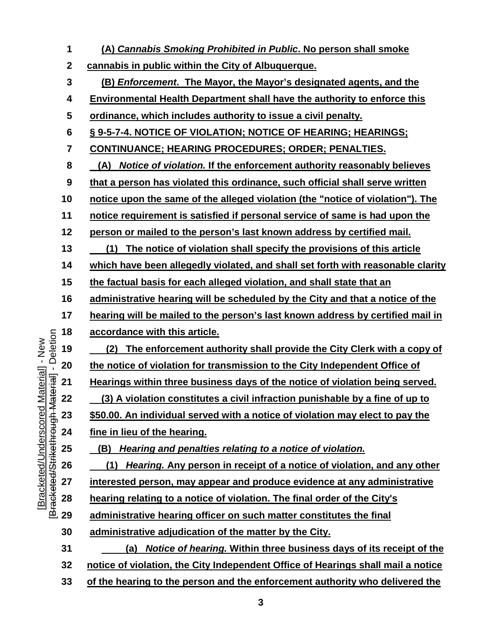**(A)** *Cannabis Smoking Prohibited in Public***. No person shall smoke cannabis in public within the City of Albuquerque. (B)** *Enforcement***. The Mayor, the Mayor's designated agents, and the Environmental Health Department shall have the authority to enforce this ordinance, which includes authority to issue a civil penalty. § 9-5-7-4. NOTICE OF VIOLATION; NOTICE OF HEARING; HEARINGS; CONTINUANCE; HEARING PROCEDURES; ORDER; PENALTIES. 8 (A)** *Notice of violation.* **If the enforcement authority reasonably believes that a person has violated this ordinance, such official shall serve written notice upon the same of the alleged violation (the "notice of violation"). The notice requirement is satisfied if personal service of same is had upon the person or mailed to the person's last known address by certified mail. 13 (1) The notice of violation shall specify the provisions of this article which have been allegedly violated, and shall set forth with reasonable clarity the factual basis for each alleged violation, and shall state that an administrative hearing will be scheduled by the City and that a notice of the hearing will be mailed to the person's last known address by certified mail in accordance with this article.** Bracketed/Strikethrough Material] - Deletion [Bracketed/Strikethrough Material] - Deletion **19 (2) The enforcement authority shall provide the City Clerk with a copy of the notice of violation for transmission to the City Independent Office of Hearings within three business days of the notice of violation being served. (3) A violation constitutes a civil infraction punishable by a fine of up to \$50.00. An individual served with a notice of violation may elect to pay the fine in lieu of the hearing. 25 (B)** *Hearing and penalties relating to a notice of violation.* **26 (1)** *Hearing.* **Any person in receipt of a notice of violation, and any other interested person, may appear and produce evidence at any administrative hearing relating to a notice of violation. The final order of the City's administrative hearing officer on such matter constitutes the final administrative adjudication of the matter by the City. 31 (a)** *Notice of hearing.* **Within three business days of its receipt of the notice of violation, the City Independent Office of Hearings shall mail a notice of the hearing to the person and the enforcement authority who delivered the** 

[Bracketed/Underscored Material] - New

Bracketed/Underscored Material] - New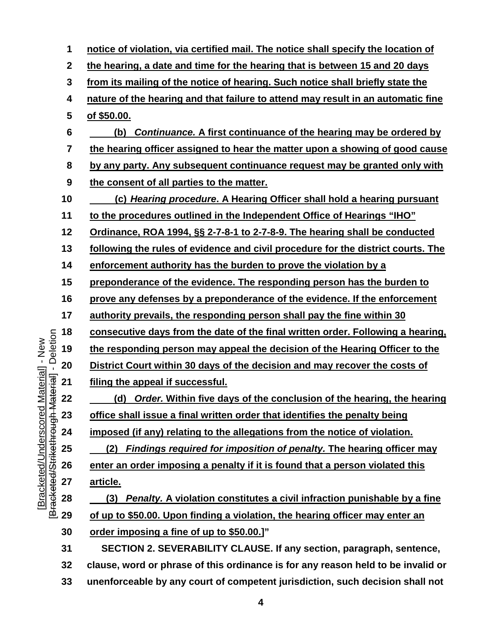**notice of violation, via certified mail. The notice shall specify the location of the hearing, a date and time for the hearing that is between 15 and 20 days from its mailing of the notice of hearing. Such notice shall briefly state the nature of the hearing and that failure to attend may result in an automatic fine of \$50.00. 6 (b)** *Continuance.* **A first continuance of the hearing may be ordered by the hearing officer assigned to hear the matter upon a showing of good cause by any party. Any subsequent continuance request may be granted only with the consent of all parties to the matter. 10 (c)** *Hearing procedure***. A Hearing Officer shall hold a hearing pursuant to the procedures outlined in the Independent Office of Hearings "IHO" Ordinance, ROA 1994, §§ 2-7-8-1 to 2-7-8-9. The hearing shall be conducted following the rules of evidence and civil procedure for the district courts. The enforcement authority has the burden to prove the violation by a preponderance of the evidence. The responding person has the burden to prove any defenses by a preponderance of the evidence. If the enforcement authority prevails, the responding person shall pay the fine within 30 consecutive days from the date of the final written order. Following a hearing,**  Bracketed/Strikethrough Material] - Deletion [Bracketed/Strikethrough Material] - Deletion **the responding person may appeal the decision of the Hearing Officer to the District Court within 30 days of the decision and may recover the costs of filing the appeal if successful. 22 (d)** *Order.* **Within five days of the conclusion of the hearing, the hearing office shall issue a final written order that identifies the penalty being imposed (if any) relating to the allegations from the notice of violation. 25 (2)** *Findings required for imposition of penalty.* **The hearing officer may enter an order imposing a penalty if it is found that a person violated this article. 28 (3)** *Penalty.* **A violation constitutes a civil infraction punishable by a fine of up to \$50.00. Upon finding a violation, the hearing officer may enter an order imposing a fine of up to \$50.00.]" SECTION 2. SEVERABILITY CLAUSE. If any section, paragraph, sentence, clause, word or phrase of this ordinance is for any reason held to be invalid or** 

[Bracketed/Underscored Material] - New

Bracketed/Underscored Material] - New

**unenforceable by any court of competent jurisdiction, such decision shall not**